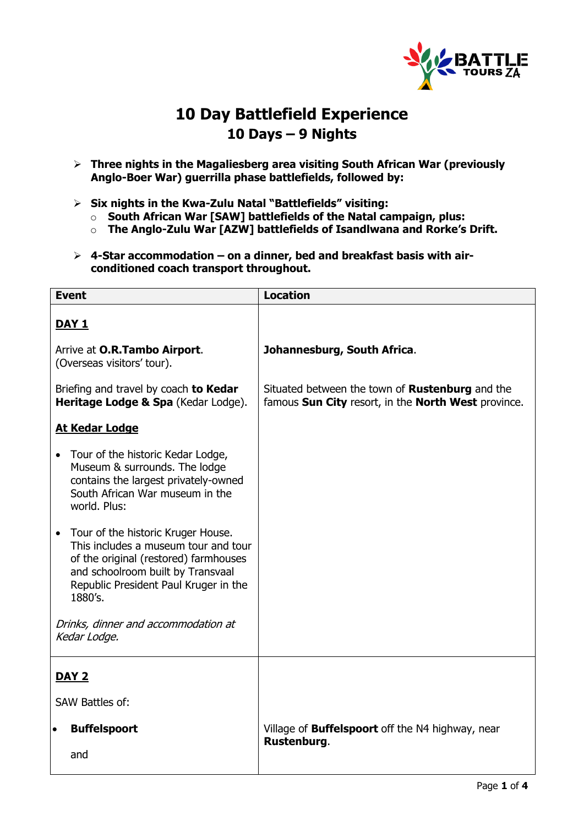

## **10 Day Battlefield Experience 10 Days – 9 Nights**

- **Three nights in the Magaliesberg area visiting South African War (previously Anglo-Boer War) guerrilla phase battlefields, followed by:**
- **Six nights in the Kwa-Zulu Natal "Battlefields" visiting:**
	- o **South African War [SAW] battlefields of the Natal campaign, plus:**
	- o **The Anglo-Zulu War [AZW] battlefields of Isandlwana and Rorke's Drift.**
- **4-Star accommodation – on a dinner, bed and breakfast basis with airconditioned coach transport throughout.**

| <b>Event</b>                                                                                                                                                                                                              | <b>Location</b>                                                                                               |
|---------------------------------------------------------------------------------------------------------------------------------------------------------------------------------------------------------------------------|---------------------------------------------------------------------------------------------------------------|
| <u>DAY 1</u>                                                                                                                                                                                                              |                                                                                                               |
| Arrive at O.R.Tambo Airport.<br>(Overseas visitors' tour).                                                                                                                                                                | Johannesburg, South Africa.                                                                                   |
| Briefing and travel by coach to Kedar<br>Heritage Lodge & Spa (Kedar Lodge).                                                                                                                                              | Situated between the town of <b>Rustenburg</b> and the<br>famous Sun City resort, in the North West province. |
| <b>At Kedar Lodge</b>                                                                                                                                                                                                     |                                                                                                               |
| Tour of the historic Kedar Lodge,<br>$\bullet$<br>Museum & surrounds. The lodge<br>contains the largest privately-owned<br>South African War museum in the<br>world. Plus:                                                |                                                                                                               |
| Tour of the historic Kruger House.<br>$\bullet$<br>This includes a museum tour and tour<br>of the original (restored) farmhouses<br>and schoolroom built by Transvaal<br>Republic President Paul Kruger in the<br>1880's. |                                                                                                               |
| Drinks, dinner and accommodation at<br>Kedar Lodge.                                                                                                                                                                       |                                                                                                               |
| DAY <sub>2</sub>                                                                                                                                                                                                          |                                                                                                               |
| <b>SAW Battles of:</b>                                                                                                                                                                                                    |                                                                                                               |
| <b>Buffelspoort</b><br>$\bullet$                                                                                                                                                                                          | Village of <b>Buffelspoort</b> off the N4 highway, near<br>Rustenburg.                                        |
| and                                                                                                                                                                                                                       |                                                                                                               |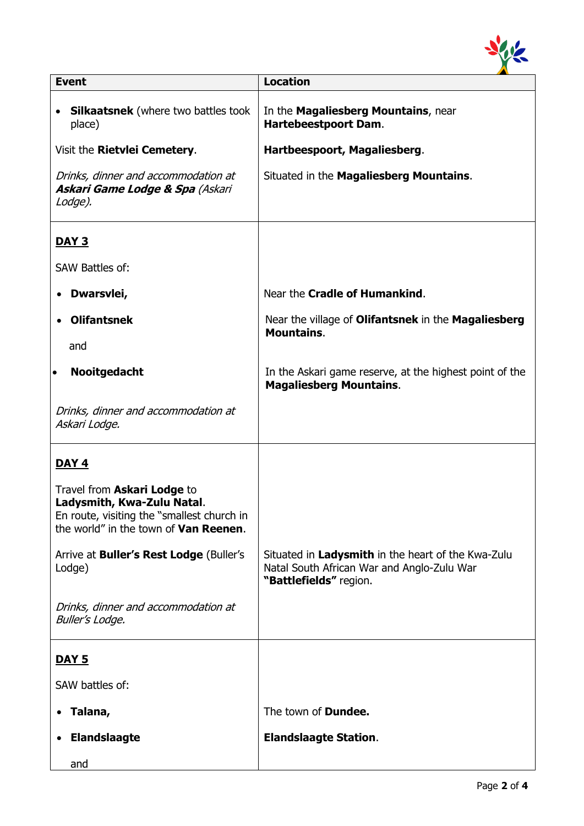

| <b>Event</b>                                                                                                                                             | <b>Location</b>                                                                                                            |
|----------------------------------------------------------------------------------------------------------------------------------------------------------|----------------------------------------------------------------------------------------------------------------------------|
| <b>Silkaatsnek</b> (where two battles took<br>$\bullet$<br>place)                                                                                        | In the Magaliesberg Mountains, near<br><b>Hartebeestpoort Dam.</b>                                                         |
| Visit the Rietvlei Cemetery.                                                                                                                             | Hartbeespoort, Magaliesberg.                                                                                               |
| Drinks, dinner and accommodation at<br><b>Askari Game Lodge &amp; Spa (Askari</b><br>Lodge).                                                             | Situated in the Magaliesberg Mountains.                                                                                    |
| <b>DAY 3</b>                                                                                                                                             |                                                                                                                            |
| <b>SAW Battles of:</b>                                                                                                                                   |                                                                                                                            |
| Dwarsvlei,                                                                                                                                               | Near the Cradle of Humankind.                                                                                              |
| <b>Olifantsnek</b>                                                                                                                                       | Near the village of Olifantsnek in the Magaliesberg<br><b>Mountains.</b>                                                   |
| and                                                                                                                                                      |                                                                                                                            |
| <b>Nooitgedacht</b><br>$\bullet$                                                                                                                         | In the Askari game reserve, at the highest point of the<br><b>Magaliesberg Mountains.</b>                                  |
| Drinks, dinner and accommodation at<br>Askari Lodge.                                                                                                     |                                                                                                                            |
| DAY <sub>4</sub>                                                                                                                                         |                                                                                                                            |
| Travel from Askari Lodge to<br>Ladysmith, Kwa-Zulu Natal.<br>En route, visiting the "smallest church in<br>the world" in the town of <b>Van Reenen</b> . |                                                                                                                            |
| Arrive at Buller's Rest Lodge (Buller's<br>Lodge)                                                                                                        | Situated in Ladysmith in the heart of the Kwa-Zulu<br>Natal South African War and Anglo-Zulu War<br>"Battlefields" region. |
| Drinks, dinner and accommodation at<br><b>Buller's Lodge.</b>                                                                                            |                                                                                                                            |
| <u>DAY 5</u>                                                                                                                                             |                                                                                                                            |
| SAW battles of:                                                                                                                                          |                                                                                                                            |
| Talana,                                                                                                                                                  | The town of <b>Dundee.</b>                                                                                                 |
| <b>Elandslaagte</b>                                                                                                                                      | <b>Elandslaagte Station.</b>                                                                                               |
| and                                                                                                                                                      |                                                                                                                            |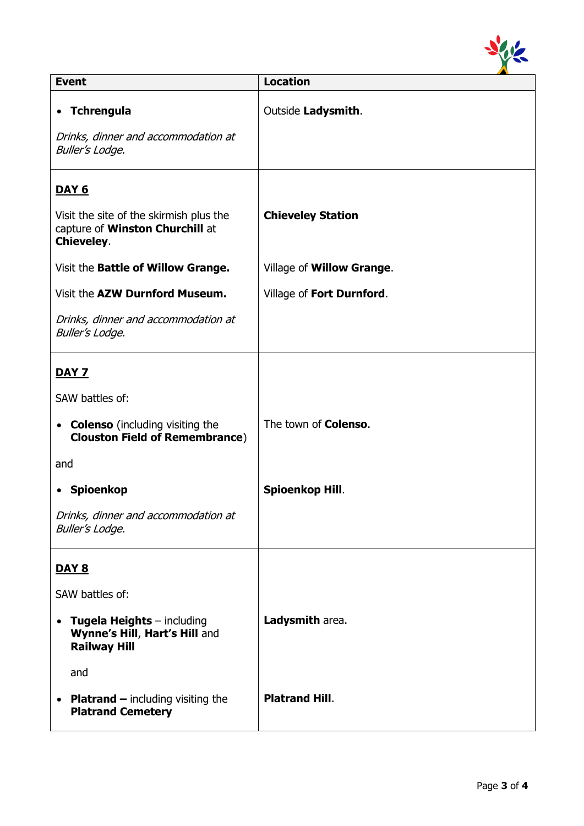

| <b>Event</b>                                                                                             | <b>Location</b>              |
|----------------------------------------------------------------------------------------------------------|------------------------------|
| • Tchrengula<br>Drinks, dinner and accommodation at<br><b>Buller's Lodge.</b>                            | Outside Ladysmith.           |
| <u>DAY 6</u>                                                                                             |                              |
| Visit the site of the skirmish plus the<br>capture of Winston Churchill at<br><b>Chieveley.</b>          | <b>Chieveley Station</b>     |
| Visit the Battle of Willow Grange.                                                                       | Village of Willow Grange.    |
| Visit the AZW Durnford Museum.                                                                           | Village of Fort Durnford.    |
| Drinks, dinner and accommodation at<br><b>Buller's Lodge.</b>                                            |                              |
| <b>DAY 7</b>                                                                                             |                              |
| SAW battles of:                                                                                          |                              |
| <b>Colenso</b> (including visiting the<br>$\bullet$<br><b>Clouston Field of Remembrance)</b>             | The town of <b>Colenso</b> . |
| and                                                                                                      |                              |
| • Spioenkop                                                                                              | Spioenkop Hill.              |
| Drinks, dinner and accommodation at<br><b>Buller's Lodge.</b>                                            |                              |
| <b>DAY 8</b>                                                                                             |                              |
| SAW battles of:                                                                                          |                              |
| <b>Tugela Heights</b> $-$ including<br>$\bullet$<br>Wynne's Hill, Hart's Hill and<br><b>Railway Hill</b> | Ladysmith area.              |
| and                                                                                                      |                              |
| <b>Platrand</b> $-$ including visiting the<br><b>Platrand Cemetery</b>                                   | <b>Platrand Hill.</b>        |